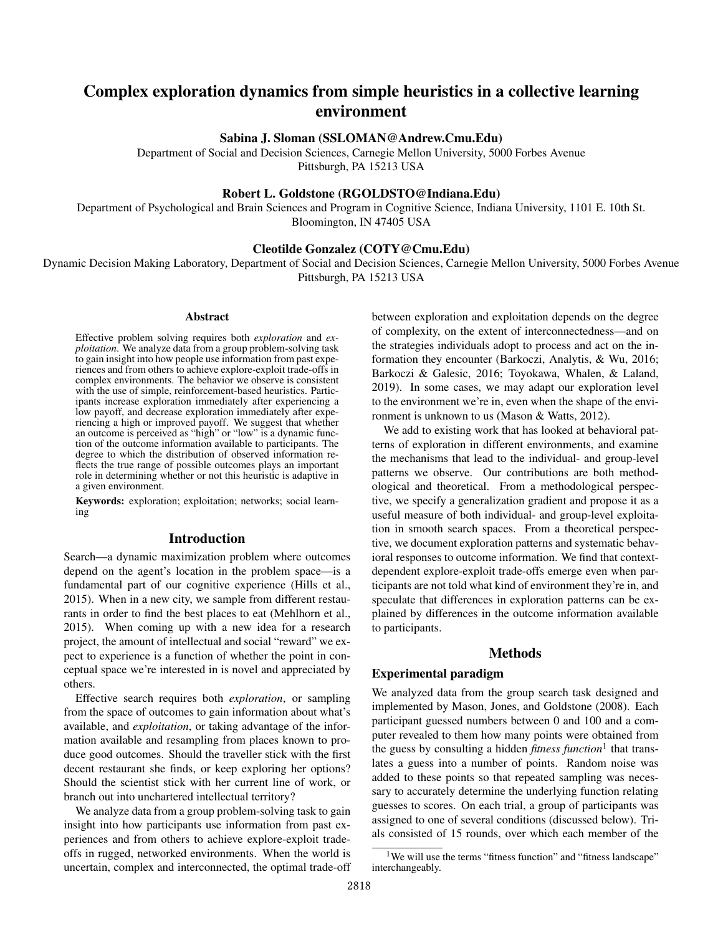# Complex exploration dynamics from simple heuristics in a collective learning environment

Sabina J. Sloman (SSLOMAN@Andrew.Cmu.Edu)

Department of Social and Decision Sciences, Carnegie Mellon University, 5000 Forbes Avenue Pittsburgh, PA 15213 USA

# Robert L. Goldstone (RGOLDSTO@Indiana.Edu)

Department of Psychological and Brain Sciences and Program in Cognitive Science, Indiana University, 1101 E. 10th St. Bloomington, IN 47405 USA

# Cleotilde Gonzalez (COTY@Cmu.Edu)

Dynamic Decision Making Laboratory, Department of Social and Decision Sciences, Carnegie Mellon University, 5000 Forbes Avenue Pittsburgh, PA 15213 USA

#### Abstract

Effective problem solving requires both *exploration* and *exploitation*. We analyze data from a group problem-solving task to gain insight into how people use information from past experiences and from others to achieve explore-exploit trade-offs in complex environments. The behavior we observe is consistent with the use of simple, reinforcement-based heuristics. Participants increase exploration immediately after experiencing a low payoff, and decrease exploration immediately after experiencing a high or improved payoff. We suggest that whether an outcome is perceived as "high" or "low" is a dynamic function of the outcome information available to participants. The degree to which the distribution of observed information reflects the true range of possible outcomes plays an important role in determining whether or not this heuristic is adaptive in a given environment.

Keywords: exploration; exploitation; networks; social learning

## Introduction

Search—a dynamic maximization problem where outcomes depend on the agent's location in the problem space—is a fundamental part of our cognitive experience (Hills et al., 2015). When in a new city, we sample from different restaurants in order to find the best places to eat (Mehlhorn et al., 2015). When coming up with a new idea for a research project, the amount of intellectual and social "reward" we expect to experience is a function of whether the point in conceptual space we're interested in is novel and appreciated by others.

Effective search requires both *exploration*, or sampling from the space of outcomes to gain information about what's available, and *exploitation*, or taking advantage of the information available and resampling from places known to produce good outcomes. Should the traveller stick with the first decent restaurant she finds, or keep exploring her options? Should the scientist stick with her current line of work, or branch out into unchartered intellectual territory?

We analyze data from a group problem-solving task to gain insight into how participants use information from past experiences and from others to achieve explore-exploit tradeoffs in rugged, networked environments. When the world is uncertain, complex and interconnected, the optimal trade-off between exploration and exploitation depends on the degree of complexity, on the extent of interconnectedness—and on the strategies individuals adopt to process and act on the information they encounter (Barkoczi, Analytis, & Wu, 2016; Barkoczi & Galesic, 2016; Toyokawa, Whalen, & Laland, 2019). In some cases, we may adapt our exploration level to the environment we're in, even when the shape of the environment is unknown to us (Mason & Watts, 2012).

We add to existing work that has looked at behavioral patterns of exploration in different environments, and examine the mechanisms that lead to the individual- and group-level patterns we observe. Our contributions are both methodological and theoretical. From a methodological perspective, we specify a generalization gradient and propose it as a useful measure of both individual- and group-level exploitation in smooth search spaces. From a theoretical perspective, we document exploration patterns and systematic behavioral responses to outcome information. We find that contextdependent explore-exploit trade-offs emerge even when participants are not told what kind of environment they're in, and speculate that differences in exploration patterns can be explained by differences in the outcome information available to participants.

# Methods

# Experimental paradigm

We analyzed data from the group search task designed and implemented by Mason, Jones, and Goldstone (2008). Each participant guessed numbers between 0 and 100 and a computer revealed to them how many points were obtained from the guess by consulting a hidden *fitness function*<sup>1</sup> that translates a guess into a number of points. Random noise was added to these points so that repeated sampling was necessary to accurately determine the underlying function relating guesses to scores. On each trial, a group of participants was assigned to one of several conditions (discussed below). Trials consisted of 15 rounds, over which each member of the

<sup>&</sup>lt;sup>1</sup>We will use the terms "fitness function" and "fitness landscape" interchangeably.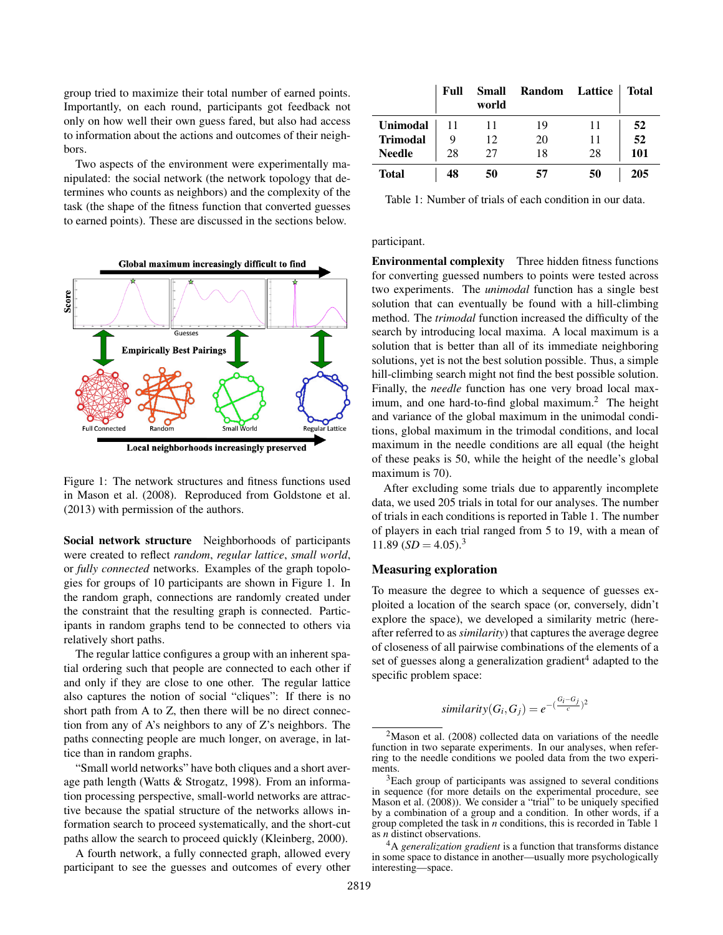group tried to maximize their total number of earned points. Importantly, on each round, participants got feedback not only on how well their own guess fared, but also had access to information about the actions and outcomes of their neighbors.

Two aspects of the environment were experimentally manipulated: the social network (the network topology that determines who counts as neighbors) and the complexity of the task (the shape of the fitness function that converted guesses to earned points). These are discussed in the sections below.



Local neighborhoods increasingly preserved

Figure 1: The network structures and fitness functions used in Mason et al. (2008). Reproduced from Goldstone et al. (2013) with permission of the authors.

Social network structure Neighborhoods of participants were created to reflect *random*, *regular lattice*, *small world*, or *fully connected* networks. Examples of the graph topologies for groups of 10 participants are shown in Figure 1. In the random graph, connections are randomly created under the constraint that the resulting graph is connected. Participants in random graphs tend to be connected to others via relatively short paths.

The regular lattice configures a group with an inherent spatial ordering such that people are connected to each other if and only if they are close to one other. The regular lattice also captures the notion of social "cliques": If there is no short path from A to Z, then there will be no direct connection from any of A's neighbors to any of Z's neighbors. The paths connecting people are much longer, on average, in lattice than in random graphs.

"Small world networks" have both cliques and a short average path length (Watts & Strogatz, 1998). From an information processing perspective, small-world networks are attractive because the spatial structure of the networks allows information search to proceed systematically, and the short-cut paths allow the search to proceed quickly (Kleinberg, 2000).

A fourth network, a fully connected graph, allowed every participant to see the guesses and outcomes of every other

|                 | Full | <b>Small</b><br>world | Random | <b>Lattice</b> | <b>Total</b> |
|-----------------|------|-----------------------|--------|----------------|--------------|
| <b>Unimodal</b> |      |                       | 19     | 11             | 52           |
| <b>Trimodal</b> | 9    | 12                    | 20     | 11             | 52           |
| <b>Needle</b>   | 28   | 27                    | 18     | 28             | 101          |
| Total           | 48   | 50                    | 57     | 50             | 205          |

Table 1: Number of trials of each condition in our data.

participant.

Environmental complexity Three hidden fitness functions for converting guessed numbers to points were tested across two experiments. The *unimodal* function has a single best solution that can eventually be found with a hill-climbing method. The *trimodal* function increased the difficulty of the search by introducing local maxima. A local maximum is a solution that is better than all of its immediate neighboring solutions, yet is not the best solution possible. Thus, a simple hill-climbing search might not find the best possible solution. Finally, the *needle* function has one very broad local maximum, and one hard-to-find global maximum.<sup>2</sup> The height and variance of the global maximum in the unimodal conditions, global maximum in the trimodal conditions, and local maximum in the needle conditions are all equal (the height of these peaks is 50, while the height of the needle's global maximum is 70).

After excluding some trials due to apparently incomplete data, we used 205 trials in total for our analyses. The number of trials in each conditions is reported in Table 1. The number of players in each trial ranged from 5 to 19, with a mean of 11.89  $(SD = 4.05)^3$ 

## Measuring exploration

To measure the degree to which a sequence of guesses exploited a location of the search space (or, conversely, didn't explore the space), we developed a similarity metric (hereafter referred to as *similarity*) that captures the average degree of closeness of all pairwise combinations of the elements of a set of guesses along a generalization gradient<sup>4</sup> adapted to the specific problem space:

$$
similarity(G_i, G_j) = e^{-(\frac{G_i - G_j}{c})^2}
$$

 $2$ Mason et al. (2008) collected data on variations of the needle function in two separate experiments. In our analyses, when referring to the needle conditions we pooled data from the two experiments.

<sup>&</sup>lt;sup>3</sup>Each group of participants was assigned to several conditions in sequence (for more details on the experimental procedure, see Mason et al. (2008)). We consider a "trial" to be uniquely specified by a combination of a group and a condition. In other words, if a group completed the task in *n* conditions, this is recorded in Table 1 as *n* distinct observations.

<sup>4</sup>A *generalization gradient* is a function that transforms distance in some space to distance in another—usually more psychologically interesting—space.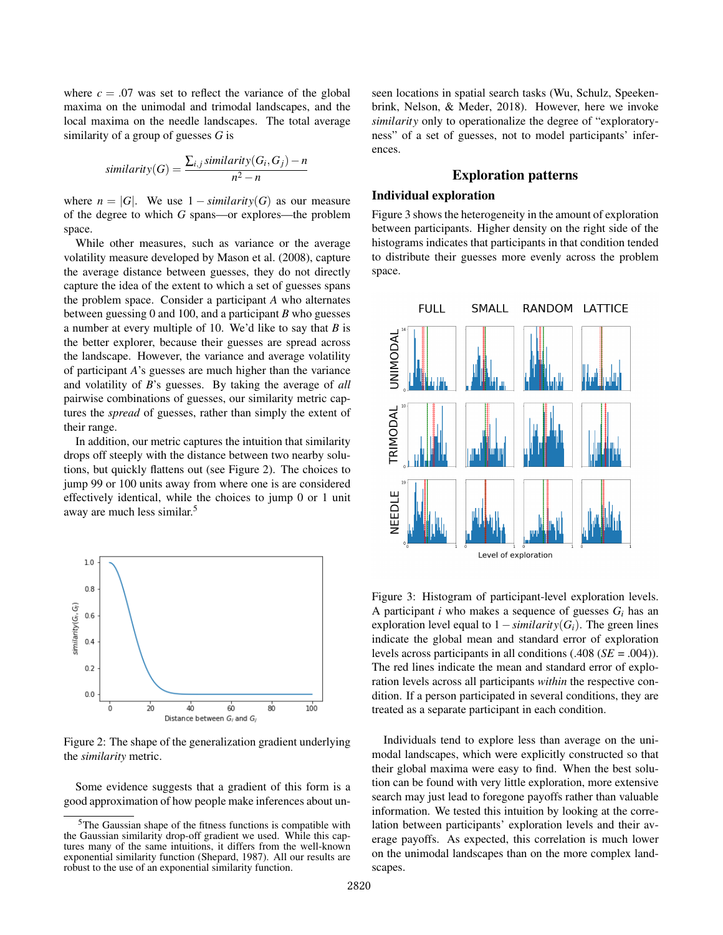where  $c = .07$  was set to reflect the variance of the global maxima on the unimodal and trimodal landscapes, and the local maxima on the needle landscapes. The total average similarity of a group of guesses *G* is

$$
similarity(G) = \frac{\sum_{i,j} similarity(G_i, G_j) - n}{n^2 - n}
$$

where  $n = |G|$ . We use  $1 - \text{similarity}(G)$  as our measure of the degree to which *G* spans—or explores—the problem space.

While other measures, such as variance or the average volatility measure developed by Mason et al. (2008), capture the average distance between guesses, they do not directly capture the idea of the extent to which a set of guesses spans the problem space. Consider a participant *A* who alternates between guessing 0 and 100, and a participant *B* who guesses a number at every multiple of 10. We'd like to say that *B* is the better explorer, because their guesses are spread across the landscape. However, the variance and average volatility of participant *A*'s guesses are much higher than the variance and volatility of *B*'s guesses. By taking the average of *all* pairwise combinations of guesses, our similarity metric captures the *spread* of guesses, rather than simply the extent of their range.

In addition, our metric captures the intuition that similarity drops off steeply with the distance between two nearby solutions, but quickly flattens out (see Figure 2). The choices to jump 99 or 100 units away from where one is are considered effectively identical, while the choices to jump 0 or 1 unit away are much less similar.<sup>5</sup>



Figure 2: The shape of the generalization gradient underlying the *similarity* metric.

Some evidence suggests that a gradient of this form is a good approximation of how people make inferences about unseen locations in spatial search tasks (Wu, Schulz, Speekenbrink, Nelson, & Meder, 2018). However, here we invoke *similarity* only to operationalize the degree of "exploratoryness" of a set of guesses, not to model participants' inferences.

# Exploration patterns

# Individual exploration

Figure 3 shows the heterogeneity in the amount of exploration between participants. Higher density on the right side of the histograms indicates that participants in that condition tended to distribute their guesses more evenly across the problem space.



Figure 3: Histogram of participant-level exploration levels. A participant *i* who makes a sequence of guesses  $G_i$  has an exploration level equal to  $1 - \text{similarity}(G_i)$ . The green lines indicate the global mean and standard error of exploration levels across participants in all conditions (.408 (*SE* = .004)). The red lines indicate the mean and standard error of exploration levels across all participants *within* the respective condition. If a person participated in several conditions, they are treated as a separate participant in each condition.

Individuals tend to explore less than average on the unimodal landscapes, which were explicitly constructed so that their global maxima were easy to find. When the best solution can be found with very little exploration, more extensive search may just lead to foregone payoffs rather than valuable information. We tested this intuition by looking at the correlation between participants' exploration levels and their average payoffs. As expected, this correlation is much lower on the unimodal landscapes than on the more complex landscapes.

<sup>5</sup>The Gaussian shape of the fitness functions is compatible with the Gaussian similarity drop-off gradient we used. While this captures many of the same intuitions, it differs from the well-known exponential similarity function (Shepard, 1987). All our results are robust to the use of an exponential similarity function.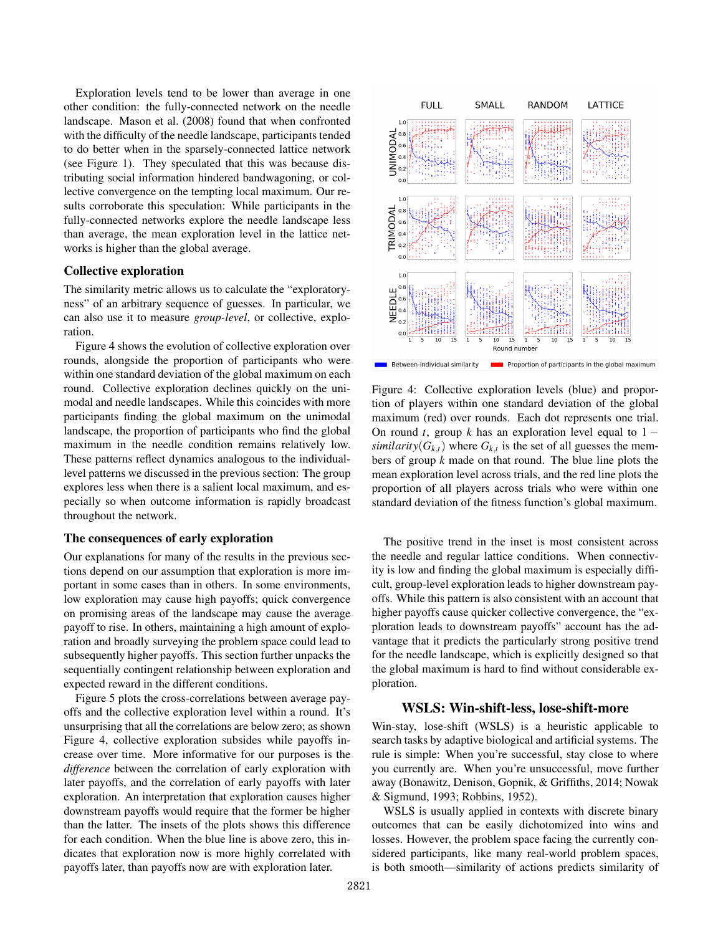Exploration levels tend to be lower than average in one other condition: the fully-connected network on the needle landscape. Mason et al. (2008) found that when confronted with the difficulty of the needle landscape, participants tended to do better when in the sparsely-connected lattice network (see Figure 1). They speculated that this was because distributing social information hindered bandwagoning, or collective convergence on the tempting local maximum. Our results corroborate this speculation: While participants in the fully-connected networks explore the needle landscape less than average, the mean exploration level in the lattice networks is higher than the global average.

# Collective exploration

The similarity metric allows us to calculate the "exploratoryness" of an arbitrary sequence of guesses. In particular, we can also use it to measure *group-level*, or collective, exploration.

Figure 4 shows the evolution of collective exploration over rounds, alongside the proportion of participants who were within one standard deviation of the global maximum on each round. Collective exploration declines quickly on the unimodal and needle landscapes. While this coincides with more participants finding the global maximum on the unimodal landscape, the proportion of participants who find the global maximum in the needle condition remains relatively low. These patterns reflect dynamics analogous to the individuallevel patterns we discussed in the previous section: The group explores less when there is a salient local maximum, and especially so when outcome information is rapidly broadcast throughout the network.

## The consequences of early exploration

Our explanations for many of the results in the previous sections depend on our assumption that exploration is more important in some cases than in others. In some environments, low exploration may cause high payoffs; quick convergence on promising areas of the landscape may cause the average payoff to rise. In others, maintaining a high amount of exploration and broadly surveying the problem space could lead to subsequently higher payoffs. This section further unpacks the sequentially contingent relationship between exploration and expected reward in the different conditions.

Figure 5 plots the cross-correlations between average payoffs and the collective exploration level within a round. It's unsurprising that all the correlations are below zero; as shown Figure 4, collective exploration subsides while payoffs increase over time. More informative for our purposes is the *difference* between the correlation of early exploration with later payoffs, and the correlation of early payoffs with later exploration. An interpretation that exploration causes higher downstream payoffs would require that the former be higher than the latter. The insets of the plots shows this difference for each condition. When the blue line is above zero, this indicates that exploration now is more highly correlated with payoffs later, than payoffs now are with exploration later.



Figure 4: Collective exploration levels (blue) and proportion of players within one standard deviation of the global maximum (red) over rounds. Each dot represents one trial. On round *t*, group *k* has an exploration level equal to  $1$ *similarity*( $G_{k,t}$ ) where  $G_{k,t}$  is the set of all guesses the members of group *k* made on that round. The blue line plots the mean exploration level across trials, and the red line plots the proportion of all players across trials who were within one standard deviation of the fitness function's global maximum.

The positive trend in the inset is most consistent across the needle and regular lattice conditions. When connectivity is low and finding the global maximum is especially difficult, group-level exploration leads to higher downstream payoffs. While this pattern is also consistent with an account that higher payoffs cause quicker collective convergence, the "exploration leads to downstream payoffs" account has the advantage that it predicts the particularly strong positive trend for the needle landscape, which is explicitly designed so that the global maximum is hard to find without considerable exploration.

# WSLS: Win-shift-less, lose-shift-more

Win-stay, lose-shift (WSLS) is a heuristic applicable to search tasks by adaptive biological and artificial systems. The rule is simple: When you're successful, stay close to where you currently are. When you're unsuccessful, move further away (Bonawitz, Denison, Gopnik, & Griffiths, 2014; Nowak & Sigmund, 1993; Robbins, 1952).

WSLS is usually applied in contexts with discrete binary outcomes that can be easily dichotomized into wins and losses. However, the problem space facing the currently considered participants, like many real-world problem spaces, is both smooth—similarity of actions predicts similarity of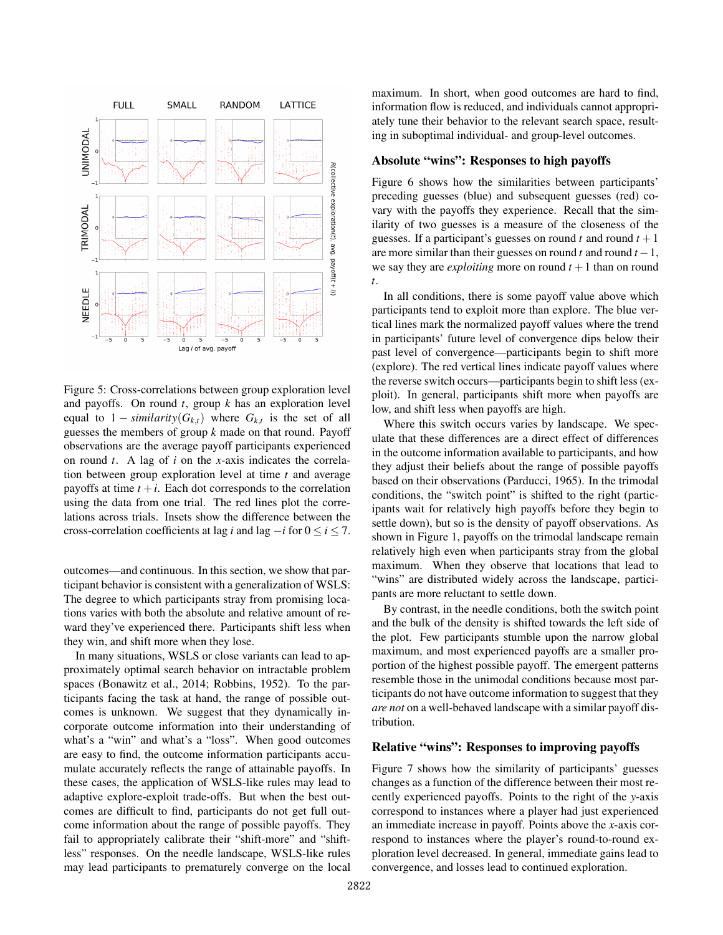

Figure 5: Cross-correlations between group exploration level and payoffs. On round *t*, group *k* has an exploration level equal to  $1 - \text{similarity}(G_{k,t})$  where  $G_{k,t}$  is the set of all guesses the members of group *k* made on that round. Payoff observations are the average payoff participants experienced on round *t*. A lag of *i* on the *x*-axis indicates the correlation between group exploration level at time *t* and average payoffs at time  $t + i$ . Each dot corresponds to the correlation using the data from one trial. The red lines plot the correlations across trials. Insets show the difference between the cross-correlation coefficients at lag *i* and lag  $-i$  for  $0 \le i \le 7$ .

outcomes—and continuous. In this section, we show that participant behavior is consistent with a generalization of WSLS: The degree to which participants stray from promising locations varies with both the absolute and relative amount of reward they've experienced there. Participants shift less when they win, and shift more when they lose.

In many situations, WSLS or close variants can lead to approximately optimal search behavior on intractable problem spaces (Bonawitz et al., 2014; Robbins, 1952). To the participants facing the task at hand, the range of possible outcomes is unknown. We suggest that they dynamically incorporate outcome information into their understanding of what's a "win" and what's a "loss". When good outcomes are easy to find, the outcome information participants accumulate accurately reflects the range of attainable payoffs. In these cases, the application of WSLS-like rules may lead to adaptive explore-exploit trade-offs. But when the best outcomes are difficult to find, participants do not get full outcome information about the range of possible payoffs. They fail to appropriately calibrate their "shift-more" and "shiftless" responses. On the needle landscape, WSLS-like rules may lead participants to prematurely converge on the local maximum. In short, when good outcomes are hard to find, information flow is reduced, and individuals cannot appropriately tune their behavior to the relevant search space, resulting in suboptimal individual- and group-level outcomes.

## Absolute "wins": Responses to high payoffs

Figure 6 shows how the similarities between participants' preceding guesses (blue) and subsequent guesses (red) covary with the payoffs they experience. Recall that the similarity of two guesses is a measure of the closeness of the guesses. If a participant's guesses on round  $t$  and round  $t + 1$ are more similar than their guesses on round  $t$  and round  $t - 1$ , we say they are *exploiting* more on round  $t + 1$  than on round *t*.

In all conditions, there is some payoff value above which participants tend to exploit more than explore. The blue vertical lines mark the normalized payoff values where the trend in participants' future level of convergence dips below their past level of convergence—participants begin to shift more (explore). The red vertical lines indicate payoff values where the reverse switch occurs—participants begin to shift less (exploit). In general, participants shift more when payoffs are low, and shift less when payoffs are high.

Where this switch occurs varies by landscape. We speculate that these differences are a direct effect of differences in the outcome information available to participants, and how they adjust their beliefs about the range of possible payoffs based on their observations (Parducci, 1965). In the trimodal conditions, the "switch point" is shifted to the right (participants wait for relatively high payoffs before they begin to settle down), but so is the density of payoff observations. As shown in Figure 1, payoffs on the trimodal landscape remain relatively high even when participants stray from the global maximum. When they observe that locations that lead to "wins" are distributed widely across the landscape, participants are more reluctant to settle down.

By contrast, in the needle conditions, both the switch point and the bulk of the density is shifted towards the left side of the plot. Few participants stumble upon the narrow global maximum, and most experienced payoffs are a smaller proportion of the highest possible payoff. The emergent patterns resemble those in the unimodal conditions because most participants do not have outcome information to suggest that they *are not* on a well-behaved landscape with a similar payoff distribution.

## Relative "wins": Responses to improving payoffs

Figure 7 shows how the similarity of participants' guesses changes as a function of the difference between their most recently experienced payoffs. Points to the right of the *y*-axis correspond to instances where a player had just experienced an immediate increase in payoff. Points above the *x*-axis correspond to instances where the player's round-to-round exploration level decreased. In general, immediate gains lead to convergence, and losses lead to continued exploration.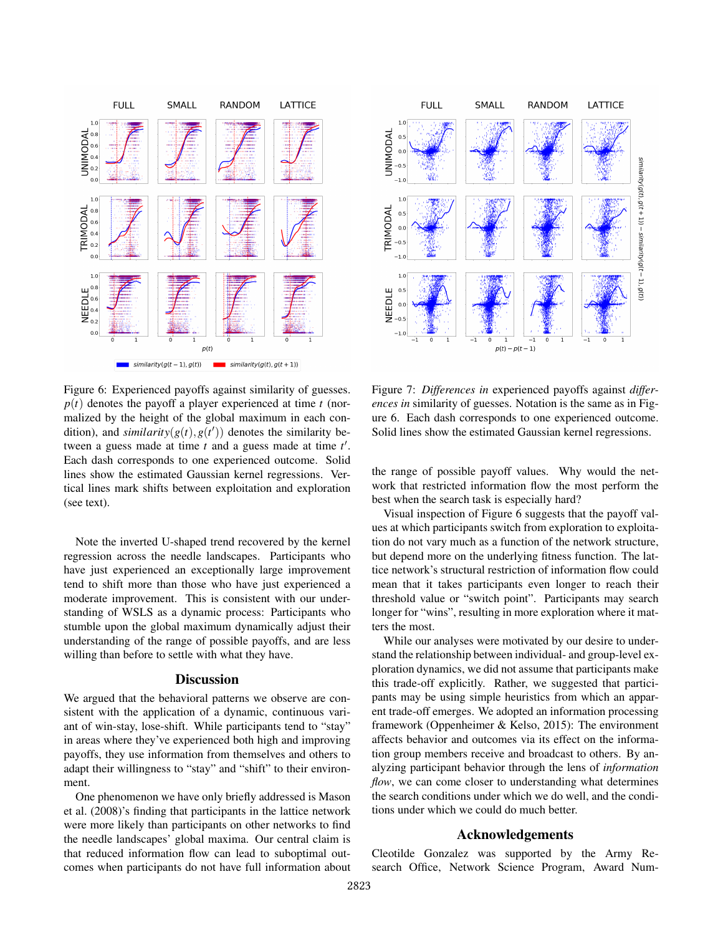

Figure 6: Experienced payoffs against similarity of guesses.  $p(t)$  denotes the payoff a player experienced at time  $t$  (normalized by the height of the global maximum in each condition), and  $similarity(g(t), g(t'))$  denotes the similarity between a guess made at time *t* and a guess made at time *t'*. Each dash corresponds to one experienced outcome. Solid lines show the estimated Gaussian kernel regressions. Vertical lines mark shifts between exploitation and exploration (see text).

Note the inverted U-shaped trend recovered by the kernel regression across the needle landscapes. Participants who have just experienced an exceptionally large improvement tend to shift more than those who have just experienced a moderate improvement. This is consistent with our understanding of WSLS as a dynamic process: Participants who stumble upon the global maximum dynamically adjust their understanding of the range of possible payoffs, and are less willing than before to settle with what they have.

#### **Discussion**

We argued that the behavioral patterns we observe are consistent with the application of a dynamic, continuous variant of win-stay, lose-shift. While participants tend to "stay" in areas where they've experienced both high and improving payoffs, they use information from themselves and others to adapt their willingness to "stay" and "shift" to their environment.

One phenomenon we have only briefly addressed is Mason et al. (2008)'s finding that participants in the lattice network were more likely than participants on other networks to find the needle landscapes' global maxima. Our central claim is that reduced information flow can lead to suboptimal outcomes when participants do not have full information about



Figure 7: *Differences in* experienced payoffs against *differences in* similarity of guesses. Notation is the same as in Figure 6. Each dash corresponds to one experienced outcome. Solid lines show the estimated Gaussian kernel regressions.

the range of possible payoff values. Why would the network that restricted information flow the most perform the best when the search task is especially hard?

Visual inspection of Figure 6 suggests that the payoff values at which participants switch from exploration to exploitation do not vary much as a function of the network structure, but depend more on the underlying fitness function. The lattice network's structural restriction of information flow could mean that it takes participants even longer to reach their threshold value or "switch point". Participants may search longer for "wins", resulting in more exploration where it matters the most.

While our analyses were motivated by our desire to understand the relationship between individual- and group-level exploration dynamics, we did not assume that participants make this trade-off explicitly. Rather, we suggested that participants may be using simple heuristics from which an apparent trade-off emerges. We adopted an information processing framework (Oppenheimer & Kelso, 2015): The environment affects behavior and outcomes via its effect on the information group members receive and broadcast to others. By analyzing participant behavior through the lens of *information flow*, we can come closer to understanding what determines the search conditions under which we do well, and the conditions under which we could do much better.

#### Acknowledgements

Cleotilde Gonzalez was supported by the Army Research Office, Network Science Program, Award Num